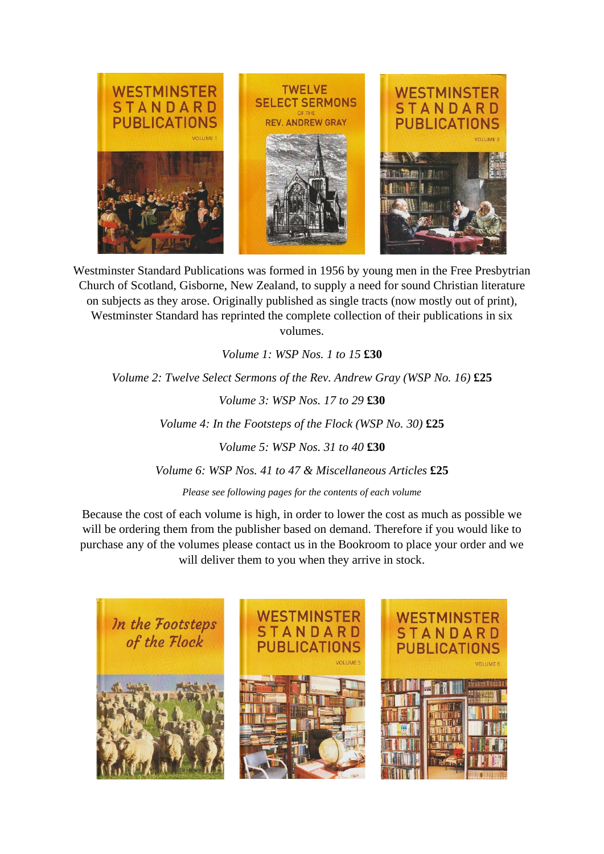

Westminster Standard Publications was formed in 1956 by young men in the Free Presbytrian Church of Scotland, Gisborne, New Zealand, to supply a need for sound Christian literature on subjects as they arose. Originally published as single tracts (now mostly out of print), Westminster Standard has reprinted the complete collection of their publications in six volumes.

*Volume 1: WSP Nos. 1 to 15* **£30**

*Volume 2: Twelve Select Sermons of the Rev. Andrew Gray (WSP No. 16)* £25

*Volume 3: WSP Nos. 17 to 29* **£30**

*Volume 4: In the Footsteps of the Flock (WSP No. 30)* **£25**

*Volume 5: WSP Nos. 31 to 40* **£30**

*Volume 6: WSP Nos. 41 to 47 & Miscellaneous Articles* **£25**

*Please see following pages for the contents of each volume*

Because the cost of each volume is high, in order to lower the cost as much as possible we will be ordering them from the publisher based on demand. Therefore if you would like to purchase any of the volumes please contact us in the Bookroom to place your order and we will deliver them to you when they arrive in stock.

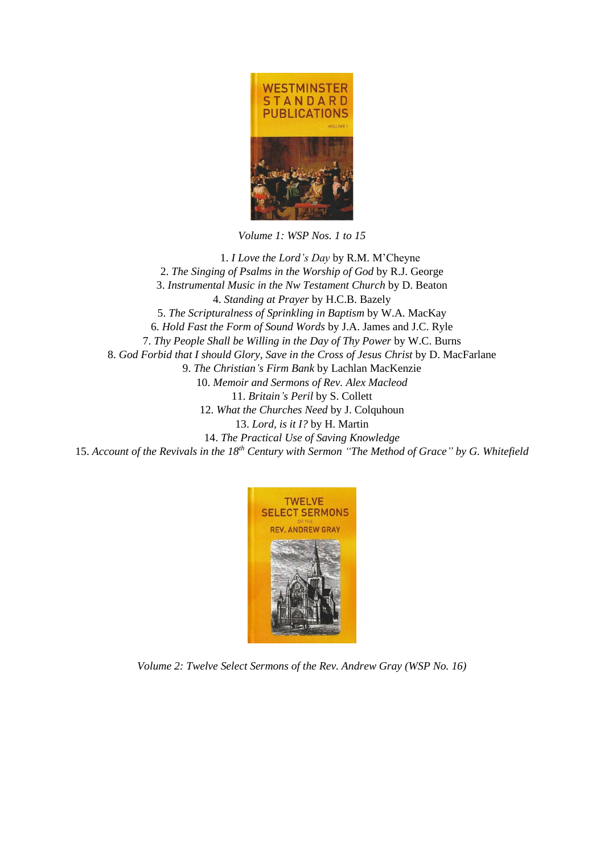

*Volume 1: WSP Nos. 1 to 15*

1. *I Love the Lord's Day* by R.M. M'Cheyne 2. *The Singing of Psalms in the Worship of God* by R.J. George 3. *Instrumental Music in the Nw Testament Church* by D. Beaton 4. *Standing at Prayer* by H.C.B. Bazely 5. *The Scripturalness of Sprinkling in Baptism* by W.A. MacKay 6. *Hold Fast the Form of Sound Words* by J.A. James and J.C. Ryle 7. *Thy People Shall be Willing in the Day of Thy Power* by W.C. Burns 8. *God Forbid that I should Glory, Save in the Cross of Jesus Christ* by D. MacFarlane 9. *The Christian's Firm Bank* by Lachlan MacKenzie 10. *Memoir and Sermons of Rev. Alex Macleod* 11. *Britain's Peril* by S. Collett 12. *What the Churches Need* by J. Colquhoun 13. *Lord, is it I?* by H. Martin 14. *The Practical Use of Saving Knowledge* 15. *Account of the Revivals in the 18th Century with Sermon "The Method of Grace" by G. Whitefield*



*Volume 2: Twelve Select Sermons of the Rev. Andrew Gray (WSP No. 16)*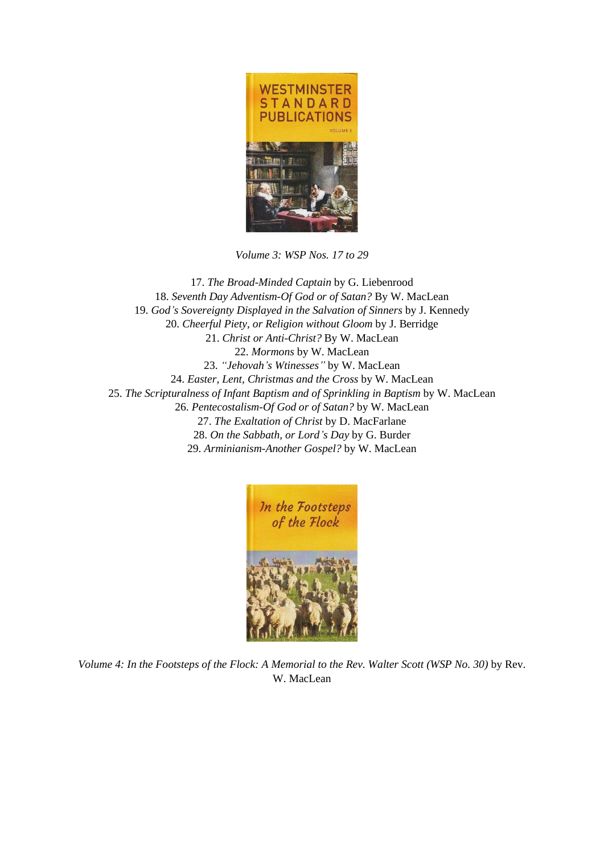

*Volume 3: WSP Nos. 17 to 29*

17. *The Broad-Minded Captain* by G. Liebenrood 18. *Seventh Day Adventism-Of God or of Satan?* By W. MacLean 19. *God's Sovereignty Displayed in the Salvation of Sinners* by J. Kennedy 20. *Cheerful Piety, or Religion without Gloom* by J. Berridge 21. *Christ or Anti-Christ?* By W. MacLean 22. *Mormons* by W. MacLean 23. *"Jehovah's Wtinesses"* by W. MacLean 24. *Easter, Lent, Christmas and the Cross* by W. MacLean 25. *The Scripturalness of Infant Baptism and of Sprinkling in Baptism* by W. MacLean 26. *Pentecostalism-Of God or of Satan?* by W. MacLean 27. *The Exaltation of Christ* by D. MacFarlane 28. *On the Sabbath, or Lord's Day* by G. Burder 29. *Arminianism-Another Gospel?* by W. MacLean



*Volume 4: In the Footsteps of the Flock: A Memorial to the Rev. Walter Scott (WSP No. 30)* by Rev. W. MacLean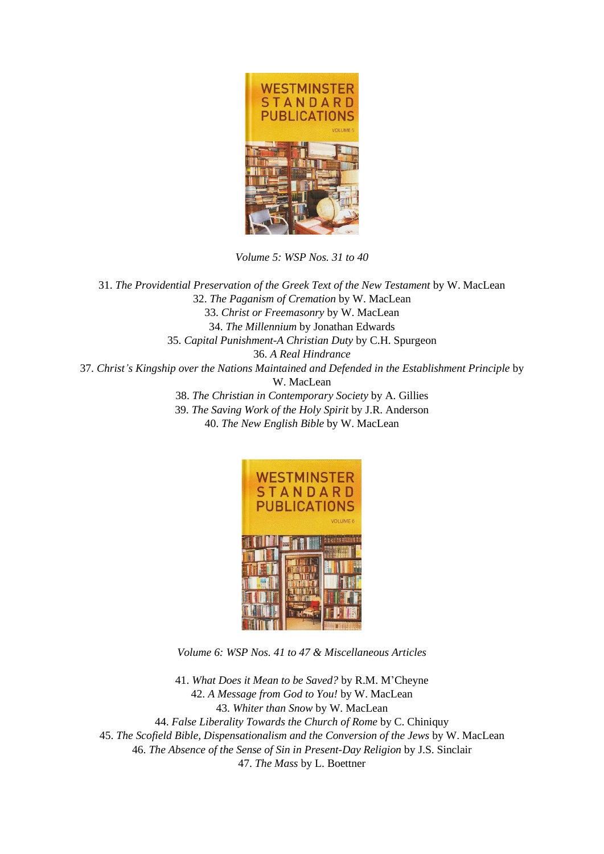

*Volume 5: WSP Nos. 31 to 40*

31. *The Providential Preservation of the Greek Text of the New Testament* by W. MacLean 32. *The Paganism of Cremation* by W. MacLean 33. *Christ or Freemasonry* by W. MacLean 34. *The Millennium* by Jonathan Edwards 35. *Capital Punishment-A Christian Duty* by C.H. Spurgeon 36. *A Real Hindrance* 37. *Christ's Kingship over the Nations Maintained and Defended in the Establishment Principle* by W. MacLean 38. *The Christian in Contemporary Society* by A. Gillies 39. *The Saving Work of the Holy Spirit* by J.R. Anderson 40. *The New English Bible* by W. MacLean



*Volume 6: WSP Nos. 41 to 47 & Miscellaneous Articles*

41. *What Does it Mean to be Saved?* by R.M. M'Cheyne 42. *A Message from God to You!* by W. MacLean 43. *Whiter than Snow* by W. MacLean 44. *False Liberality Towards the Church of Rome* by C. Chiniquy 45. *The Scofield Bible, Dispensationalism and the Conversion of the Jews* by W. MacLean 46. *The Absence of the Sense of Sin in Present-Day Religion* by J.S. Sinclair 47. *The Mass* by L. Boettner